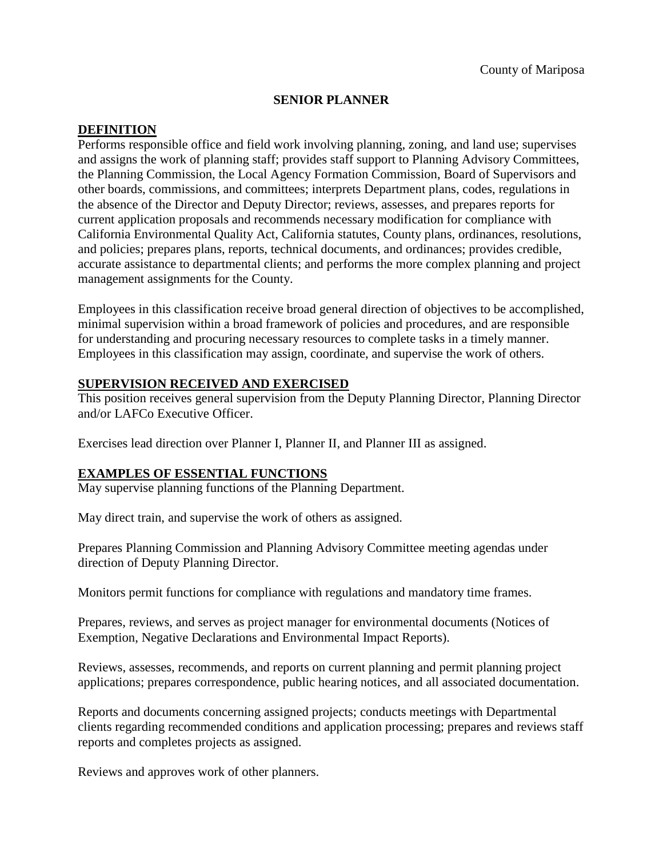### **SENIOR PLANNER**

#### **DEFINITION**

Performs responsible office and field work involving planning, zoning, and land use; supervises and assigns the work of planning staff; provides staff support to Planning Advisory Committees, the Planning Commission, the Local Agency Formation Commission, Board of Supervisors and other boards, commissions, and committees; interprets Department plans, codes, regulations in the absence of the Director and Deputy Director; reviews, assesses, and prepares reports for current application proposals and recommends necessary modification for compliance with California Environmental Quality Act, California statutes, County plans, ordinances, resolutions, and policies; prepares plans, reports, technical documents, and ordinances; provides credible, accurate assistance to departmental clients; and performs the more complex planning and project management assignments for the County.

Employees in this classification receive broad general direction of objectives to be accomplished, minimal supervision within a broad framework of policies and procedures, and are responsible for understanding and procuring necessary resources to complete tasks in a timely manner. Employees in this classification may assign, coordinate, and supervise the work of others.

### **SUPERVISION RECEIVED AND EXERCISED**

This position receives general supervision from the Deputy Planning Director, Planning Director and/or LAFCo Executive Officer.

Exercises lead direction over Planner I, Planner II, and Planner III as assigned.

### **EXAMPLES OF ESSENTIAL FUNCTIONS**

May supervise planning functions of the Planning Department.

May direct train, and supervise the work of others as assigned.

Prepares Planning Commission and Planning Advisory Committee meeting agendas under direction of Deputy Planning Director.

Monitors permit functions for compliance with regulations and mandatory time frames.

Prepares, reviews, and serves as project manager for environmental documents (Notices of Exemption, Negative Declarations and Environmental Impact Reports).

Reviews, assesses, recommends, and reports on current planning and permit planning project applications; prepares correspondence, public hearing notices, and all associated documentation.

Reports and documents concerning assigned projects; conducts meetings with Departmental clients regarding recommended conditions and application processing; prepares and reviews staff reports and completes projects as assigned.

Reviews and approves work of other planners.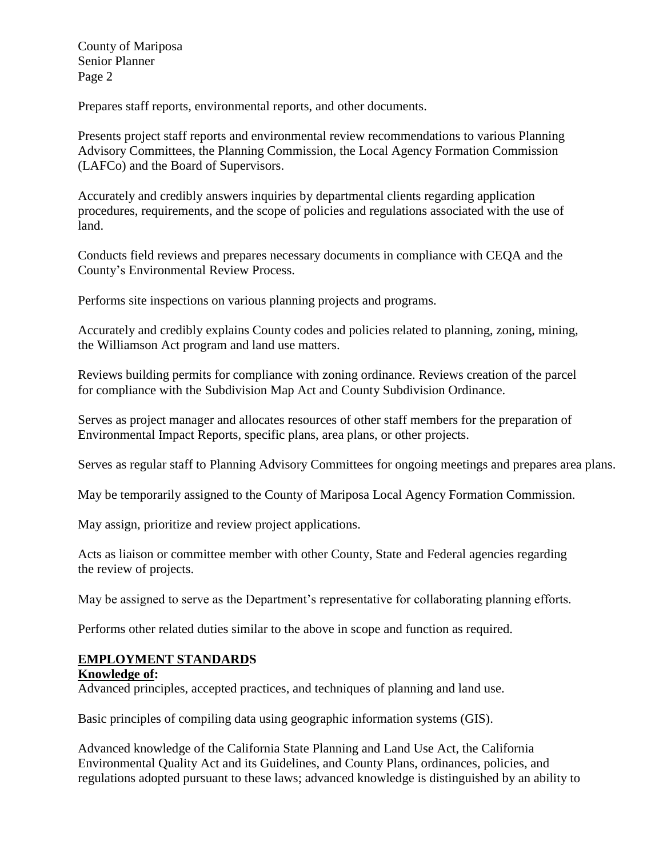County of Mariposa Senior Planner Page 2

Prepares staff reports, environmental reports, and other documents.

Presents project staff reports and environmental review recommendations to various Planning Advisory Committees, the Planning Commission, the Local Agency Formation Commission (LAFCo) and the Board of Supervisors.

Accurately and credibly answers inquiries by departmental clients regarding application procedures, requirements, and the scope of policies and regulations associated with the use of land.

Conducts field reviews and prepares necessary documents in compliance with CEQA and the County's Environmental Review Process.

Performs site inspections on various planning projects and programs.

Accurately and credibly explains County codes and policies related to planning, zoning, mining, the Williamson Act program and land use matters.

Reviews building permits for compliance with zoning ordinance. Reviews creation of the parcel for compliance with the Subdivision Map Act and County Subdivision Ordinance.

Serves as project manager and allocates resources of other staff members for the preparation of Environmental Impact Reports, specific plans, area plans, or other projects.

Serves as regular staff to Planning Advisory Committees for ongoing meetings and prepares area plans.

May be temporarily assigned to the County of Mariposa Local Agency Formation Commission.

May assign, prioritize and review project applications.

Acts as liaison or committee member with other County, State and Federal agencies regarding the review of projects.

May be assigned to serve as the Department's representative for collaborating planning efforts.

Performs other related duties similar to the above in scope and function as required.

### **EMPLOYMENT STANDARDS**

## **Knowledge of:**

Advanced principles, accepted practices, and techniques of planning and land use.

Basic principles of compiling data using geographic information systems (GIS).

Advanced knowledge of the California State Planning and Land Use Act, the California Environmental Quality Act and its Guidelines, and County Plans, ordinances, policies, and regulations adopted pursuant to these laws; advanced knowledge is distinguished by an ability to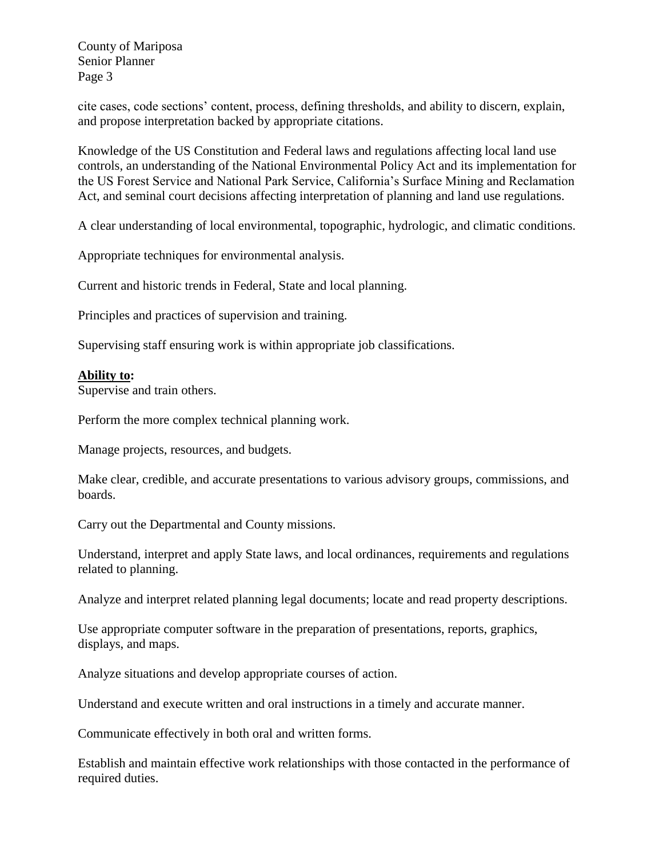County of Mariposa Senior Planner Page 3

cite cases, code sections' content, process, defining thresholds, and ability to discern, explain, and propose interpretation backed by appropriate citations.

Knowledge of the US Constitution and Federal laws and regulations affecting local land use controls, an understanding of the National Environmental Policy Act and its implementation for the US Forest Service and National Park Service, California's Surface Mining and Reclamation Act, and seminal court decisions affecting interpretation of planning and land use regulations.

A clear understanding of local environmental, topographic, hydrologic, and climatic conditions.

Appropriate techniques for environmental analysis.

Current and historic trends in Federal, State and local planning.

Principles and practices of supervision and training.

Supervising staff ensuring work is within appropriate job classifications.

### **Ability to:**

Supervise and train others.

Perform the more complex technical planning work.

Manage projects, resources, and budgets.

Make clear, credible, and accurate presentations to various advisory groups, commissions, and boards.

Carry out the Departmental and County missions.

Understand, interpret and apply State laws, and local ordinances, requirements and regulations related to planning.

Analyze and interpret related planning legal documents; locate and read property descriptions.

Use appropriate computer software in the preparation of presentations, reports, graphics, displays, and maps.

Analyze situations and develop appropriate courses of action.

Understand and execute written and oral instructions in a timely and accurate manner.

Communicate effectively in both oral and written forms.

Establish and maintain effective work relationships with those contacted in the performance of required duties.